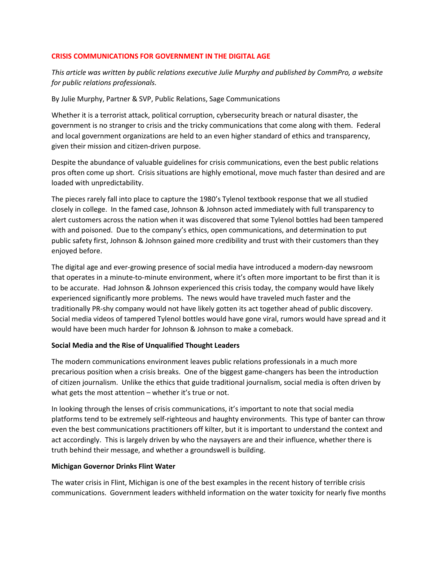## **CRISIS COMMUNICATIONS FOR GOVERNMENT IN THE DIGITAL AGE**

*This article was written by public relations executive Julie Murphy and published by CommPro, a website for public relations professionals.*

By Julie Murphy, Partner & SVP, Public Relations, Sage Communications

Whether it is a terrorist attack, political corruption, cybersecurity breach or natural disaster, the government is no stranger to crisis and the tricky communications that come along with them. Federal and local government organizations are held to an even higher standard of ethics and transparency, given their mission and citizen-driven purpose.

Despite the abundance of valuable guidelines for crisis communications, even the best public relations pros often come up short. Crisis situations are highly emotional, move much faster than desired and are loaded with unpredictability.

The pieces rarely fall into place to capture the 1980's Tylenol textbook response that we all studied closely in college. In the famed case, Johnson & Johnson acted immediately with full transparency to alert customers across the nation when it was discovered that some Tylenol bottles had been tampered with and poisoned. Due to the company's ethics, open communications, and determination to put public safety first, Johnson & Johnson gained more credibility and trust with their customers than they enjoyed before.

The digital age and ever-growing presence of social media have introduced a modern-day newsroom that operates in a minute-to-minute environment, where it's often more important to be first than it is to be accurate. Had Johnson & Johnson experienced this crisis today, the company would have likely experienced significantly more problems. The news would have traveled much faster and the traditionally PR-shy company would not have likely gotten its act together ahead of public discovery. Social media videos of tampered Tylenol bottles would have gone viral, rumors would have spread and it would have been much harder for Johnson & Johnson to make a comeback.

## **Social Media and the Rise of Unqualified Thought Leaders**

The modern communications environment leaves public relations professionals in a much more precarious position when a crisis breaks. One of the biggest game-changers has been the introduction of citizen journalism. Unlike the ethics that guide traditional journalism, social media is often driven by what gets the most attention – whether it's true or not.

In looking through the lenses of crisis communications, it's important to note that social media platforms tend to be extremely self-righteous and haughty environments. This type of banter can throw even the best communications practitioners off kilter, but it is important to understand the context and act accordingly. This is largely driven by who the naysayers are and their influence, whether there is truth behind their message, and whether a groundswell is building.

## **Michigan Governor Drinks Flint Water**

The water crisis in Flint, Michigan is one of the best examples in the recent history of terrible crisis communications. Government leaders withheld information on the water toxicity for nearly five months